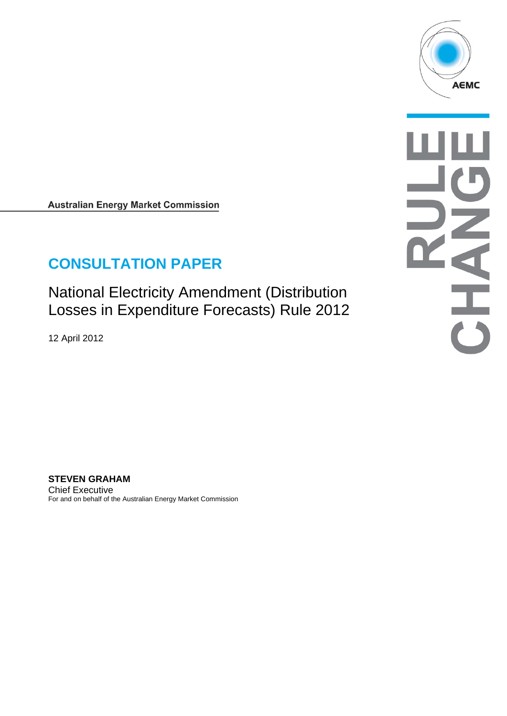

**Australian Energy Market Commission** 

# **CONSULTATION PAPER**

National Electricity Amendment (Distribution Losses in Expenditure Forecasts) Rule 2012

12 April 2012

**STEVEN GRAHAM**  Chief Executive For and on behalf of the Australian Energy Market Commission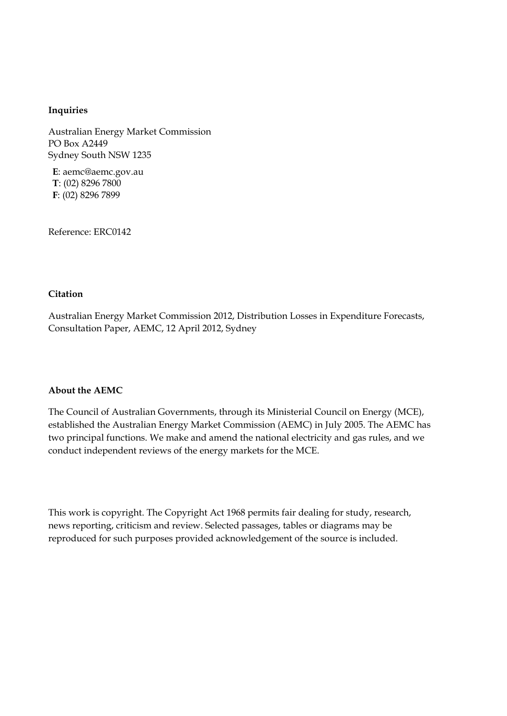#### **Inquiries**

Australian Energy Market Commission PO Box A2449 Sydney South NSW 1235

**E**: aemc@aemc.gov.au **T**: (02) 8296 7800 **F**: (02) 8296 7899

Reference: ERC0142

#### **Citation**

Australian Energy Market Commission 2012, Distribution Losses in Expenditure Forecasts, Consultation Paper, AEMC, 12 April 2012, Sydney

#### **About the AEMC**

The Council of Australian Governments, through its Ministerial Council on Energy (MCE), established the Australian Energy Market Commission (AEMC) in July 2005. The AEMC has two principal functions. We make and amend the national electricity and gas rules, and we conduct independent reviews of the energy markets for the MCE.

This work is copyright. The Copyright Act 1968 permits fair dealing for study, research, news reporting, criticism and review. Selected passages, tables or diagrams may be reproduced for such purposes provided acknowledgement of the source is included.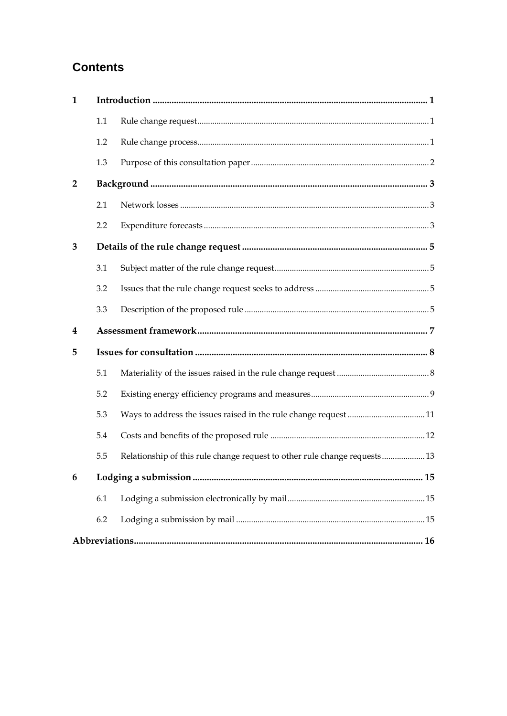## **Contents**

| $\mathbf{1}$   |     |                                                                           |  |
|----------------|-----|---------------------------------------------------------------------------|--|
|                | 1.1 |                                                                           |  |
|                | 1.2 |                                                                           |  |
|                | 1.3 |                                                                           |  |
| $\overline{2}$ |     |                                                                           |  |
|                | 2.1 |                                                                           |  |
|                | 2.2 |                                                                           |  |
| 3              |     |                                                                           |  |
|                | 3.1 |                                                                           |  |
|                | 3.2 |                                                                           |  |
|                | 3.3 |                                                                           |  |
| 4              |     |                                                                           |  |
| 5              |     |                                                                           |  |
|                | 5.1 |                                                                           |  |
|                | 5.2 |                                                                           |  |
|                | 5.3 |                                                                           |  |
|                | 5.4 |                                                                           |  |
|                | 5.5 | Relationship of this rule change request to other rule change requests 13 |  |
|                |     |                                                                           |  |
|                | 6.1 |                                                                           |  |
|                | 6.2 |                                                                           |  |
|                |     |                                                                           |  |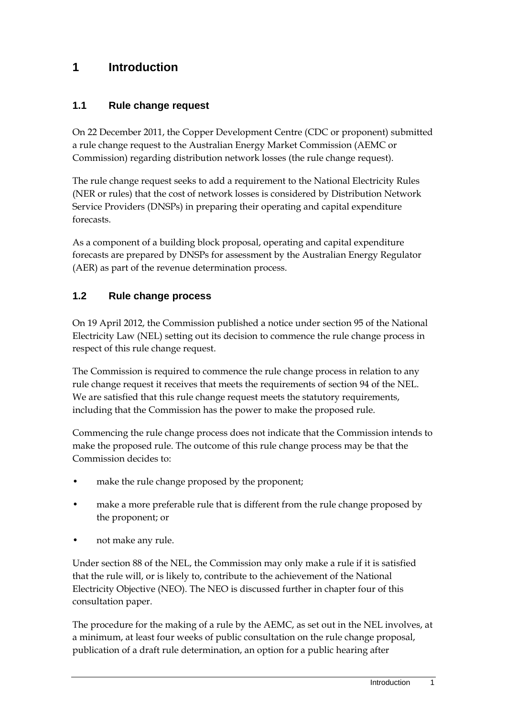### **1 Introduction**

### **1.1 Rule change request**

On 22 December 2011, the Copper Development Centre (CDC or proponent) submitted a rule change request to the Australian Energy Market Commission (AEMC or Commission) regarding distribution network losses (the rule change request).

The rule change request seeks to add a requirement to the National Electricity Rules (NER or rules) that the cost of network losses is considered by Distribution Network Service Providers (DNSPs) in preparing their operating and capital expenditure forecasts.

As a component of a building block proposal, operating and capital expenditure forecasts are prepared by DNSPs for assessment by the Australian Energy Regulator (AER) as part of the revenue determination process.

### **1.2 Rule change process**

On 19 April 2012, the Commission published a notice under section 95 of the National Electricity Law (NEL) setting out its decision to commence the rule change process in respect of this rule change request.

The Commission is required to commence the rule change process in relation to any rule change request it receives that meets the requirements of section 94 of the NEL. We are satisfied that this rule change request meets the statutory requirements, including that the Commission has the power to make the proposed rule.

Commencing the rule change process does not indicate that the Commission intends to make the proposed rule. The outcome of this rule change process may be that the Commission decides to:

- make the rule change proposed by the proponent;
- make a more preferable rule that is different from the rule change proposed by the proponent; or
- not make any rule.

Under section 88 of the NEL, the Commission may only make a rule if it is satisfied that the rule will, or is likely to, contribute to the achievement of the National Electricity Objective (NEO). The NEO is discussed further in chapter four of this consultation paper.

The procedure for the making of a rule by the AEMC, as set out in the NEL involves, at a minimum, at least four weeks of public consultation on the rule change proposal, publication of a draft rule determination, an option for a public hearing after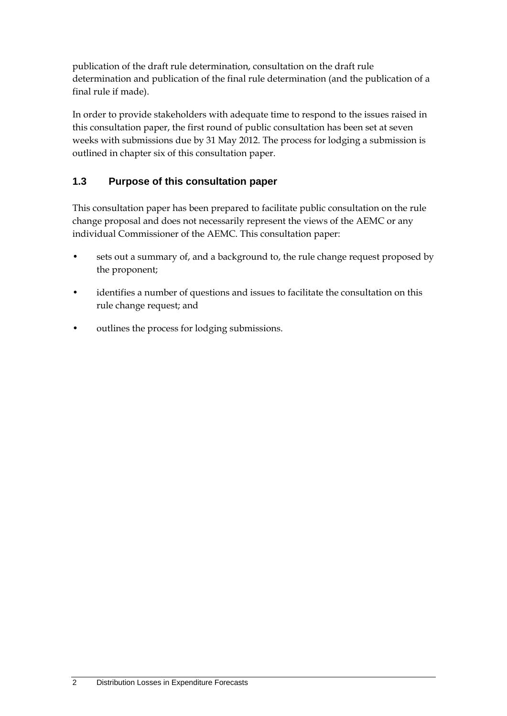publication of the draft rule determination, consultation on the draft rule determination and publication of the final rule determination (and the publication of a final rule if made).

In order to provide stakeholders with adequate time to respond to the issues raised in this consultation paper, the first round of public consultation has been set at seven weeks with submissions due by 31 May 2012. The process for lodging a submission is outlined in chapter six of this consultation paper.

### **1.3 Purpose of this consultation paper**

This consultation paper has been prepared to facilitate public consultation on the rule change proposal and does not necessarily represent the views of the AEMC or any individual Commissioner of the AEMC. This consultation paper:

- sets out a summary of, and a background to, the rule change request proposed by the proponent;
- identifies a number of questions and issues to facilitate the consultation on this rule change request; and
- outlines the process for lodging submissions.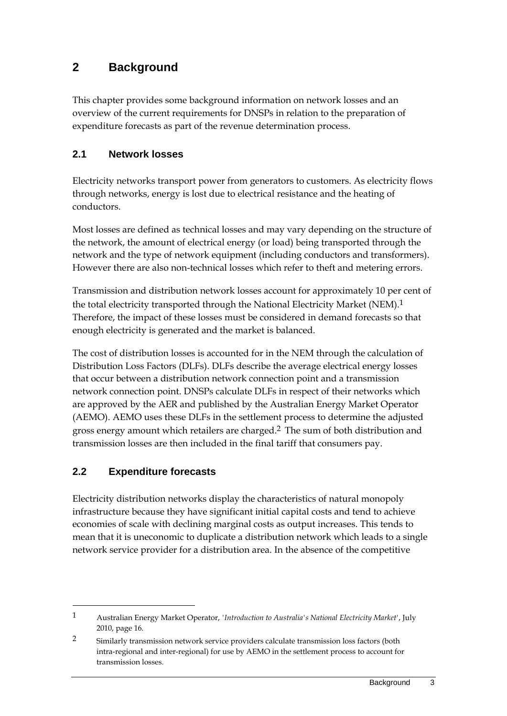## **2 Background**

This chapter provides some background information on network losses and an overview of the current requirements for DNSPs in relation to the preparation of expenditure forecasts as part of the revenue determination process.

### **2.1 Network losses**

Electricity networks transport power from generators to customers. As electricity flows through networks, energy is lost due to electrical resistance and the heating of conductors.

Most losses are defined as technical losses and may vary depending on the structure of the network, the amount of electrical energy (or load) being transported through the network and the type of network equipment (including conductors and transformers). However there are also non-technical losses which refer to theft and metering errors.

Transmission and distribution network losses account for approximately 10 per cent of the total electricity transported through the National Electricity Market (NEM).<sup>1</sup> Therefore, the impact of these losses must be considered in demand forecasts so that enough electricity is generated and the market is balanced.

The cost of distribution losses is accounted for in the NEM through the calculation of Distribution Loss Factors (DLFs). DLFs describe the average electrical energy losses that occur between a distribution network connection point and a transmission network connection point. DNSPs calculate DLFs in respect of their networks which are approved by the AER and published by the Australian Energy Market Operator (AEMO). AEMO uses these DLFs in the settlement process to determine the adjusted gross energy amount which retailers are charged.2 The sum of both distribution and transmission losses are then included in the final tariff that consumers pay.

### **2.2 Expenditure forecasts**

1

Electricity distribution networks display the characteristics of natural monopoly infrastructure because they have significant initial capital costs and tend to achieve economies of scale with declining marginal costs as output increases. This tends to mean that it is uneconomic to duplicate a distribution network which leads to a single network service provider for a distribution area. In the absence of the competitive

<sup>1</sup> Australian Energy Market Operator, *'Introduction to Australia's National Electricity Market'*, July 2010, page 16.

<sup>2</sup> Similarly transmission network service providers calculate transmission loss factors (both intra-regional and inter-regional) for use by AEMO in the settlement process to account for transmission losses.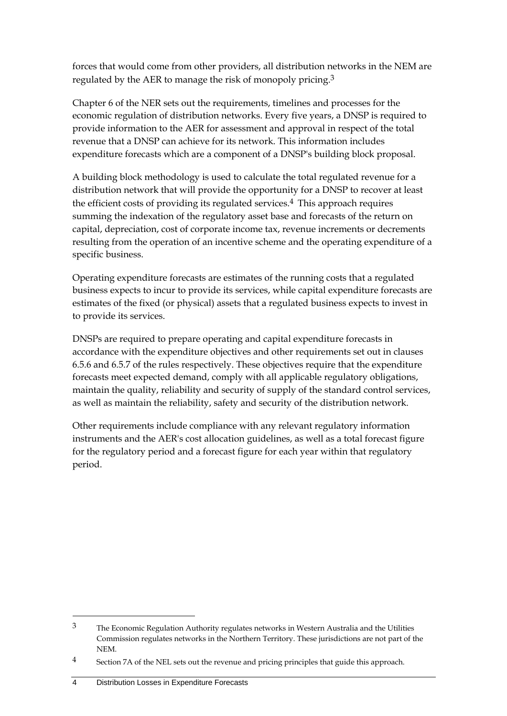forces that would come from other providers, all distribution networks in the NEM are regulated by the AER to manage the risk of monopoly pricing.3

Chapter 6 of the NER sets out the requirements, timelines and processes for the economic regulation of distribution networks. Every five years, a DNSP is required to provide information to the AER for assessment and approval in respect of the total revenue that a DNSP can achieve for its network. This information includes expenditure forecasts which are a component of a DNSP's building block proposal.

A building block methodology is used to calculate the total regulated revenue for a distribution network that will provide the opportunity for a DNSP to recover at least the efficient costs of providing its regulated services.<sup>4</sup> This approach requires summing the indexation of the regulatory asset base and forecasts of the return on capital, depreciation, cost of corporate income tax, revenue increments or decrements resulting from the operation of an incentive scheme and the operating expenditure of a specific business.

Operating expenditure forecasts are estimates of the running costs that a regulated business expects to incur to provide its services, while capital expenditure forecasts are estimates of the fixed (or physical) assets that a regulated business expects to invest in to provide its services.

DNSPs are required to prepare operating and capital expenditure forecasts in accordance with the expenditure objectives and other requirements set out in clauses 6.5.6 and 6.5.7 of the rules respectively. These objectives require that the expenditure forecasts meet expected demand, comply with all applicable regulatory obligations, maintain the quality, reliability and security of supply of the standard control services, as well as maintain the reliability, safety and security of the distribution network.

Other requirements include compliance with any relevant regulatory information instruments and the AER's cost allocation guidelines, as well as a total forecast figure for the regulatory period and a forecast figure for each year within that regulatory period.

<sup>3</sup> The Economic Regulation Authority regulates networks in Western Australia and the Utilities Commission regulates networks in the Northern Territory. These jurisdictions are not part of the NEM.

<sup>4</sup> Section 7A of the NEL sets out the revenue and pricing principles that guide this approach.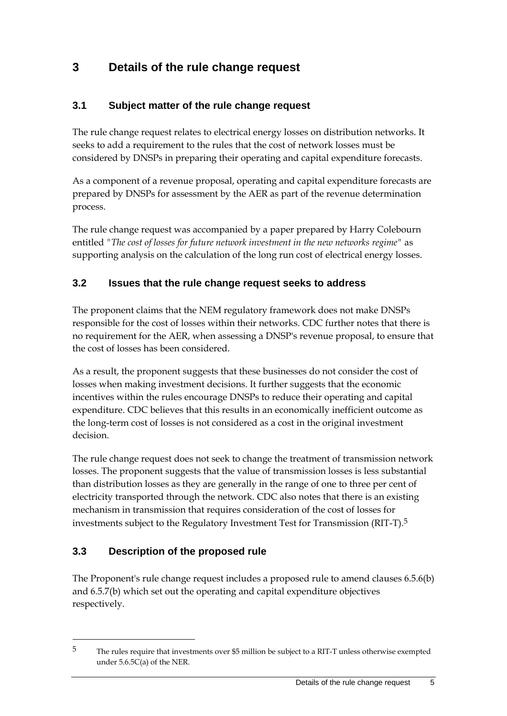## **3 Details of the rule change request**

### **3.1 Subject matter of the rule change request**

The rule change request relates to electrical energy losses on distribution networks. It seeks to add a requirement to the rules that the cost of network losses must be considered by DNSPs in preparing their operating and capital expenditure forecasts.

As a component of a revenue proposal, operating and capital expenditure forecasts are prepared by DNSPs for assessment by the AER as part of the revenue determination process.

The rule change request was accompanied by a paper prepared by Harry Colebourn entitled *"The cost of losses for future network investment in the new networks regime"* as supporting analysis on the calculation of the long run cost of electrical energy losses.

### **3.2 Issues that the rule change request seeks to address**

The proponent claims that the NEM regulatory framework does not make DNSPs responsible for the cost of losses within their networks. CDC further notes that there is no requirement for the AER, when assessing a DNSP's revenue proposal, to ensure that the cost of losses has been considered.

As a result, the proponent suggests that these businesses do not consider the cost of losses when making investment decisions. It further suggests that the economic incentives within the rules encourage DNSPs to reduce their operating and capital expenditure. CDC believes that this results in an economically inefficient outcome as the long-term cost of losses is not considered as a cost in the original investment decision.

The rule change request does not seek to change the treatment of transmission network losses. The proponent suggests that the value of transmission losses is less substantial than distribution losses as they are generally in the range of one to three per cent of electricity transported through the network. CDC also notes that there is an existing mechanism in transmission that requires consideration of the cost of losses for investments subject to the Regulatory Investment Test for Transmission (RIT-T).5

### **3.3 Description of the proposed rule**

1

The Proponent's rule change request includes a proposed rule to amend clauses 6.5.6(b) and 6.5.7(b) which set out the operating and capital expenditure objectives respectively.

<sup>5</sup> The rules require that investments over \$5 million be subject to a RIT-T unless otherwise exempted under 5.6.5C(a) of the NER.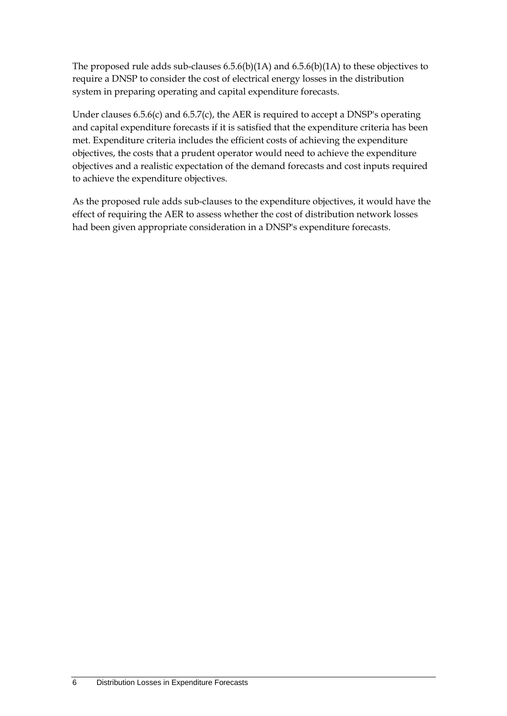The proposed rule adds sub-clauses 6.5.6(b)(1A) and 6.5.6(b)(1A) to these objectives to require a DNSP to consider the cost of electrical energy losses in the distribution system in preparing operating and capital expenditure forecasts.

Under clauses 6.5.6(c) and 6.5.7(c), the AER is required to accept a DNSP's operating and capital expenditure forecasts if it is satisfied that the expenditure criteria has been met. Expenditure criteria includes the efficient costs of achieving the expenditure objectives, the costs that a prudent operator would need to achieve the expenditure objectives and a realistic expectation of the demand forecasts and cost inputs required to achieve the expenditure objectives.

As the proposed rule adds sub-clauses to the expenditure objectives, it would have the effect of requiring the AER to assess whether the cost of distribution network losses had been given appropriate consideration in a DNSP's expenditure forecasts.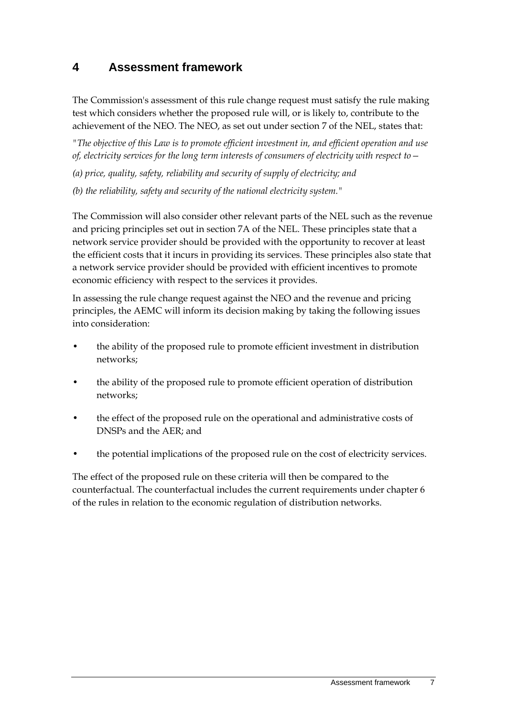## **4 Assessment framework**

The Commission's assessment of this rule change request must satisfy the rule making test which considers whether the proposed rule will, or is likely to, contribute to the achievement of the NEO. The NEO, as set out under section 7 of the NEL, states that:

*"The objective of this Law is to promote efficient investment in, and efficient operation and use of, electricity services for the long term interests of consumers of electricity with respect to—*

*(a) price, quality, safety, reliability and security of supply of electricity; and*

*(b) the reliability, safety and security of the national electricity system."*

The Commission will also consider other relevant parts of the NEL such as the revenue and pricing principles set out in section 7A of the NEL. These principles state that a network service provider should be provided with the opportunity to recover at least the efficient costs that it incurs in providing its services. These principles also state that a network service provider should be provided with efficient incentives to promote economic efficiency with respect to the services it provides.

In assessing the rule change request against the NEO and the revenue and pricing principles, the AEMC will inform its decision making by taking the following issues into consideration:

- the ability of the proposed rule to promote efficient investment in distribution networks;
- the ability of the proposed rule to promote efficient operation of distribution networks;
- the effect of the proposed rule on the operational and administrative costs of DNSPs and the AER; and
- the potential implications of the proposed rule on the cost of electricity services.

The effect of the proposed rule on these criteria will then be compared to the counterfactual. The counterfactual includes the current requirements under chapter 6 of the rules in relation to the economic regulation of distribution networks.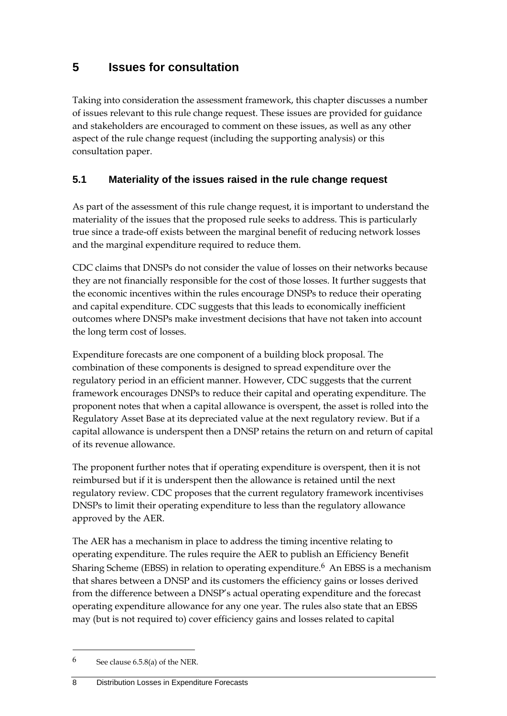## **5 Issues for consultation**

Taking into consideration the assessment framework, this chapter discusses a number of issues relevant to this rule change request. These issues are provided for guidance and stakeholders are encouraged to comment on these issues, as well as any other aspect of the rule change request (including the supporting analysis) or this consultation paper.

### **5.1 Materiality of the issues raised in the rule change request**

As part of the assessment of this rule change request, it is important to understand the materiality of the issues that the proposed rule seeks to address. This is particularly true since a trade-off exists between the marginal benefit of reducing network losses and the marginal expenditure required to reduce them.

CDC claims that DNSPs do not consider the value of losses on their networks because they are not financially responsible for the cost of those losses. It further suggests that the economic incentives within the rules encourage DNSPs to reduce their operating and capital expenditure. CDC suggests that this leads to economically inefficient outcomes where DNSPs make investment decisions that have not taken into account the long term cost of losses.

Expenditure forecasts are one component of a building block proposal. The combination of these components is designed to spread expenditure over the regulatory period in an efficient manner. However, CDC suggests that the current framework encourages DNSPs to reduce their capital and operating expenditure. The proponent notes that when a capital allowance is overspent, the asset is rolled into the Regulatory Asset Base at its depreciated value at the next regulatory review. But if a capital allowance is underspent then a DNSP retains the return on and return of capital of its revenue allowance.

The proponent further notes that if operating expenditure is overspent, then it is not reimbursed but if it is underspent then the allowance is retained until the next regulatory review. CDC proposes that the current regulatory framework incentivises DNSPs to limit their operating expenditure to less than the regulatory allowance approved by the AER.

The AER has a mechanism in place to address the timing incentive relating to operating expenditure. The rules require the AER to publish an Efficiency Benefit Sharing Scheme (EBSS) in relation to operating expenditure.<sup>6</sup> An EBSS is a mechanism that shares between a DNSP and its customers the efficiency gains or losses derived from the difference between a DNSP's actual operating expenditure and the forecast operating expenditure allowance for any one year. The rules also state that an EBSS may (but is not required to) cover efficiency gains and losses related to capital

<sup>6</sup> See clause 6.5.8(a) of the NER.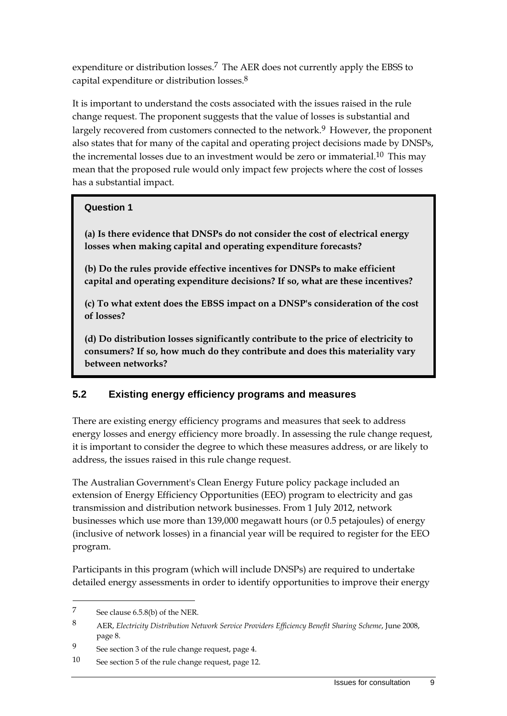expenditure or distribution losses.<sup>7</sup> The AER does not currently apply the EBSS to capital expenditure or distribution losses.8

It is important to understand the costs associated with the issues raised in the rule change request. The proponent suggests that the value of losses is substantial and largely recovered from customers connected to the network.<sup>9</sup> However, the proponent also states that for many of the capital and operating project decisions made by DNSPs, the incremental losses due to an investment would be zero or immaterial.<sup>10</sup> This may mean that the proposed rule would only impact few projects where the cost of losses has a substantial impact.

#### **Question 1**

**(a) Is there evidence that DNSPs do not consider the cost of electrical energy losses when making capital and operating expenditure forecasts?** 

**(b) Do the rules provide effective incentives for DNSPs to make efficient capital and operating expenditure decisions? If so, what are these incentives?** 

**(c) To what extent does the EBSS impact on a DNSP's consideration of the cost of losses?** 

**(d) Do distribution losses significantly contribute to the price of electricity to consumers? If so, how much do they contribute and does this materiality vary between networks?** 

### **5.2 Existing energy efficiency programs and measures**

There are existing energy efficiency programs and measures that seek to address energy losses and energy efficiency more broadly. In assessing the rule change request, it is important to consider the degree to which these measures address, or are likely to address, the issues raised in this rule change request.

The Australian Government's Clean Energy Future policy package included an extension of Energy Efficiency Opportunities (EEO) program to electricity and gas transmission and distribution network businesses. From 1 July 2012, network businesses which use more than 139,000 megawatt hours (or 0.5 petajoules) of energy (inclusive of network losses) in a financial year will be required to register for the EEO program.

Participants in this program (which will include DNSPs) are required to undertake detailed energy assessments in order to identify opportunities to improve their energy

<sup>7</sup> See clause 6.5.8(b) of the NER.

<sup>8</sup> AER, *Electricity Distribution Network Service Providers Efficiency Benefit Sharing Scheme*, June 2008, page 8.

<sup>9</sup> See section 3 of the rule change request, page 4.

<sup>10</sup> See section 5 of the rule change request, page 12.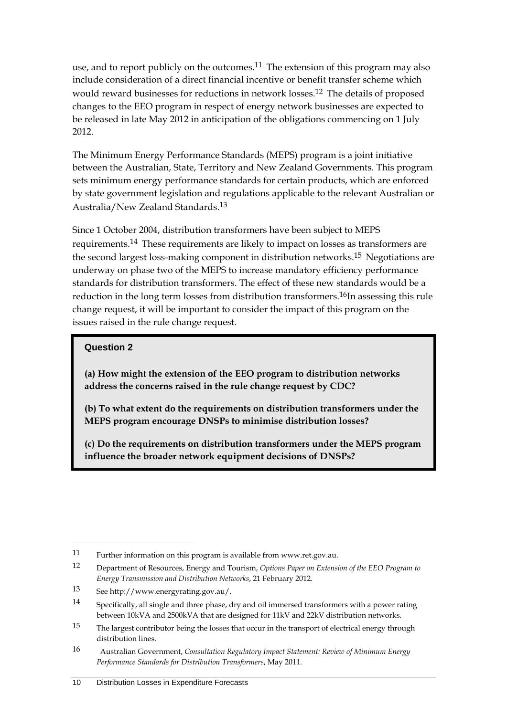use, and to report publicly on the outcomes.<sup>11</sup> The extension of this program may also include consideration of a direct financial incentive or benefit transfer scheme which would reward businesses for reductions in network losses.12 The details of proposed changes to the EEO program in respect of energy network businesses are expected to be released in late May 2012 in anticipation of the obligations commencing on 1 July 2012.

The Minimum Energy Performance Standards (MEPS) program is a joint initiative between the Australian, State, Territory and New Zealand Governments. This program sets minimum energy performance standards for certain products, which are enforced by state government legislation and regulations applicable to the relevant Australian or Australia/New Zealand Standards.13

Since 1 October 2004, distribution transformers have been subject to MEPS requirements.14 These requirements are likely to impact on losses as transformers are the second largest loss-making component in distribution networks.<sup>15</sup> Negotiations are underway on phase two of the MEPS to increase mandatory efficiency performance standards for distribution transformers. The effect of these new standards would be a reduction in the long term losses from distribution transformers.<sup>16</sup>In assessing this rule change request, it will be important to consider the impact of this program on the issues raised in the rule change request.

### **Question 2**

1

**(a) How might the extension of the EEO program to distribution networks address the concerns raised in the rule change request by CDC?** 

**(b) To what extent do the requirements on distribution transformers under the MEPS program encourage DNSPs to minimise distribution losses?** 

**(c) Do the requirements on distribution transformers under the MEPS program influence the broader network equipment decisions of DNSPs?** 

<sup>11</sup> Further information on this program is available from www.ret.gov.au.

<sup>12</sup> Department of Resources, Energy and Tourism, *Options Paper on Extension of the EEO Program to Energy Transmission and Distribution Networks*, 21 February 2012.

<sup>13</sup> See http://www.energyrating.gov.au/.

<sup>14</sup> Specifically, all single and three phase, dry and oil immersed transformers with a power rating between 10kVA and 2500kVA that are designed for 11kV and 22kV distribution networks.

<sup>15</sup> The largest contributor being the losses that occur in the transport of electrical energy through distribution lines.

<sup>16</sup> Australian Government, *Consultation Regulatory Impact Statement: Review of Minimum Energy Performance Standards for Distribution Transformers*, May 2011.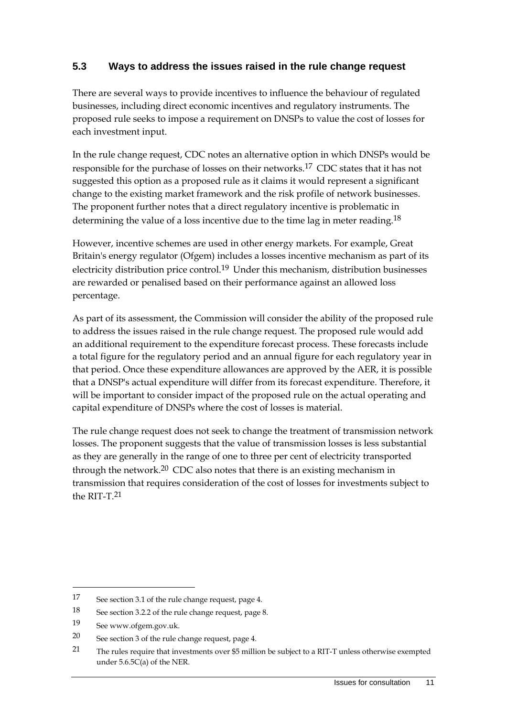### **5.3 Ways to address the issues raised in the rule change request**

There are several ways to provide incentives to influence the behaviour of regulated businesses, including direct economic incentives and regulatory instruments. The proposed rule seeks to impose a requirement on DNSPs to value the cost of losses for each investment input.

In the rule change request, CDC notes an alternative option in which DNSPs would be responsible for the purchase of losses on their networks.17 CDC states that it has not suggested this option as a proposed rule as it claims it would represent a significant change to the existing market framework and the risk profile of network businesses. The proponent further notes that a direct regulatory incentive is problematic in determining the value of a loss incentive due to the time lag in meter reading.<sup>18</sup>

However, incentive schemes are used in other energy markets. For example, Great Britain's energy regulator (Ofgem) includes a losses incentive mechanism as part of its electricity distribution price control.19 Under this mechanism, distribution businesses are rewarded or penalised based on their performance against an allowed loss percentage.

As part of its assessment, the Commission will consider the ability of the proposed rule to address the issues raised in the rule change request. The proposed rule would add an additional requirement to the expenditure forecast process. These forecasts include a total figure for the regulatory period and an annual figure for each regulatory year in that period. Once these expenditure allowances are approved by the AER, it is possible that a DNSP's actual expenditure will differ from its forecast expenditure. Therefore, it will be important to consider impact of the proposed rule on the actual operating and capital expenditure of DNSPs where the cost of losses is material.

The rule change request does not seek to change the treatment of transmission network losses. The proponent suggests that the value of transmission losses is less substantial as they are generally in the range of one to three per cent of electricity transported through the network.<sup>20</sup> CDC also notes that there is an existing mechanism in transmission that requires consideration of the cost of losses for investments subject to the RIT-T $21$ 

<sup>17</sup> See section 3.1 of the rule change request, page 4.

<sup>18</sup> See section 3.2.2 of the rule change request, page 8.

<sup>19</sup> See www.ofgem.gov.uk.

<sup>20</sup> See section 3 of the rule change request, page 4.

<sup>21</sup> The rules require that investments over \$5 million be subject to a RIT-T unless otherwise exempted under 5.6.5C(a) of the NER.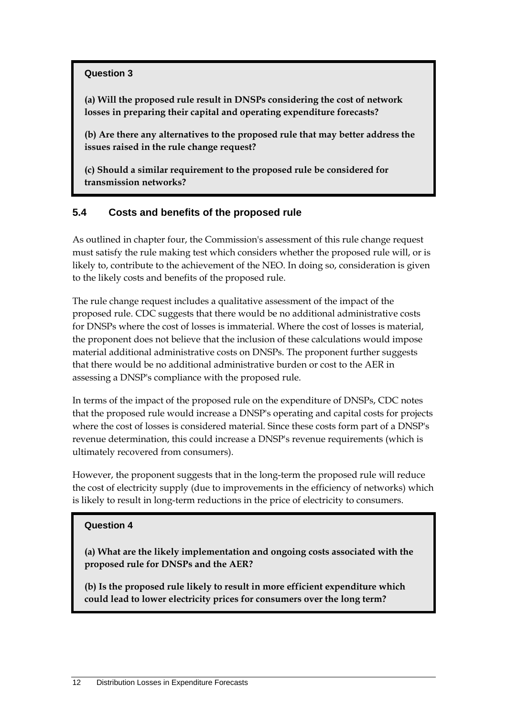#### **Question 3**

**(a) Will the proposed rule result in DNSPs considering the cost of network losses in preparing their capital and operating expenditure forecasts?** 

**(b) Are there any alternatives to the proposed rule that may better address the issues raised in the rule change request?** 

**(c) Should a similar requirement to the proposed rule be considered for transmission networks?** 

### **5.4 Costs and benefits of the proposed rule**

As outlined in chapter four, the Commission's assessment of this rule change request must satisfy the rule making test which considers whether the proposed rule will, or is likely to, contribute to the achievement of the NEO. In doing so, consideration is given to the likely costs and benefits of the proposed rule.

The rule change request includes a qualitative assessment of the impact of the proposed rule. CDC suggests that there would be no additional administrative costs for DNSPs where the cost of losses is immaterial. Where the cost of losses is material, the proponent does not believe that the inclusion of these calculations would impose material additional administrative costs on DNSPs. The proponent further suggests that there would be no additional administrative burden or cost to the AER in assessing a DNSP's compliance with the proposed rule.

In terms of the impact of the proposed rule on the expenditure of DNSPs, CDC notes that the proposed rule would increase a DNSP's operating and capital costs for projects where the cost of losses is considered material. Since these costs form part of a DNSP's revenue determination, this could increase a DNSP's revenue requirements (which is ultimately recovered from consumers).

However, the proponent suggests that in the long-term the proposed rule will reduce the cost of electricity supply (due to improvements in the efficiency of networks) which is likely to result in long-term reductions in the price of electricity to consumers.

#### **Question 4**

**(a) What are the likely implementation and ongoing costs associated with the proposed rule for DNSPs and the AER?** 

**(b) Is the proposed rule likely to result in more efficient expenditure which could lead to lower electricity prices for consumers over the long term?**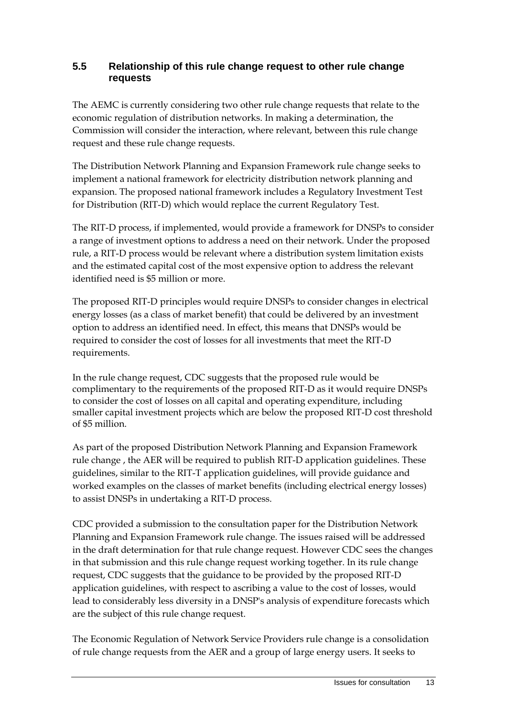### **5.5 Relationship of this rule change request to other rule change requests**

The AEMC is currently considering two other rule change requests that relate to the economic regulation of distribution networks. In making a determination, the Commission will consider the interaction, where relevant, between this rule change request and these rule change requests.

The Distribution Network Planning and Expansion Framework rule change seeks to implement a national framework for electricity distribution network planning and expansion. The proposed national framework includes a Regulatory Investment Test for Distribution (RIT-D) which would replace the current Regulatory Test.

The RIT-D process, if implemented, would provide a framework for DNSPs to consider a range of investment options to address a need on their network. Under the proposed rule, a RIT-D process would be relevant where a distribution system limitation exists and the estimated capital cost of the most expensive option to address the relevant identified need is \$5 million or more.

The proposed RIT-D principles would require DNSPs to consider changes in electrical energy losses (as a class of market benefit) that could be delivered by an investment option to address an identified need. In effect, this means that DNSPs would be required to consider the cost of losses for all investments that meet the RIT-D requirements.

In the rule change request, CDC suggests that the proposed rule would be complimentary to the requirements of the proposed RIT-D as it would require DNSPs to consider the cost of losses on all capital and operating expenditure, including smaller capital investment projects which are below the proposed RIT-D cost threshold of \$5 million.

As part of the proposed Distribution Network Planning and Expansion Framework rule change , the AER will be required to publish RIT-D application guidelines. These guidelines, similar to the RIT-T application guidelines, will provide guidance and worked examples on the classes of market benefits (including electrical energy losses) to assist DNSPs in undertaking a RIT-D process.

CDC provided a submission to the consultation paper for the Distribution Network Planning and Expansion Framework rule change. The issues raised will be addressed in the draft determination for that rule change request. However CDC sees the changes in that submission and this rule change request working together. In its rule change request, CDC suggests that the guidance to be provided by the proposed RIT-D application guidelines, with respect to ascribing a value to the cost of losses, would lead to considerably less diversity in a DNSP's analysis of expenditure forecasts which are the subject of this rule change request.

The Economic Regulation of Network Service Providers rule change is a consolidation of rule change requests from the AER and a group of large energy users. It seeks to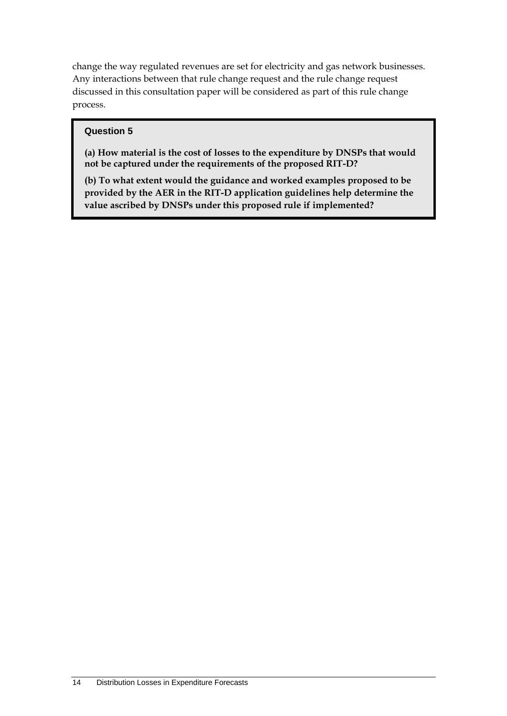change the way regulated revenues are set for electricity and gas network businesses. Any interactions between that rule change request and the rule change request discussed in this consultation paper will be considered as part of this rule change process.

#### **Question 5**

**(a) How material is the cost of losses to the expenditure by DNSPs that would not be captured under the requirements of the proposed RIT-D?** 

**(b) To what extent would the guidance and worked examples proposed to be provided by the AER in the RIT-D application guidelines help determine the value ascribed by DNSPs under this proposed rule if implemented?**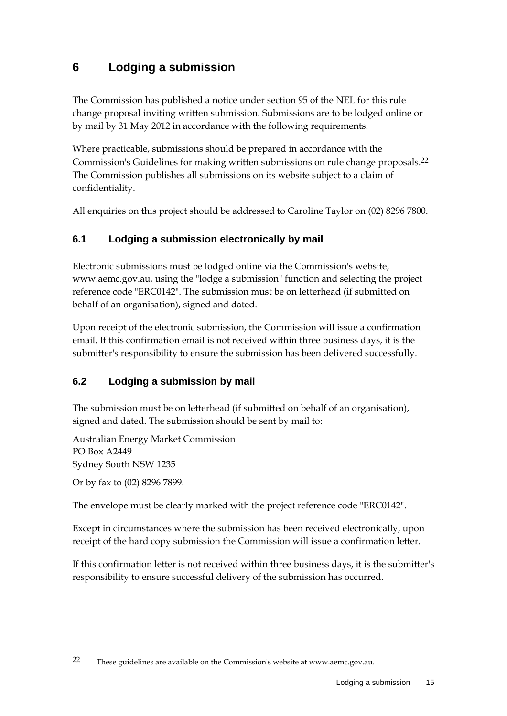## **6 Lodging a submission**

The Commission has published a notice under section 95 of the NEL for this rule change proposal inviting written submission. Submissions are to be lodged online or by mail by 31 May 2012 in accordance with the following requirements.

Where practicable, submissions should be prepared in accordance with the Commission's Guidelines for making written submissions on rule change proposals.22 The Commission publishes all submissions on its website subject to a claim of confidentiality.

All enquiries on this project should be addressed to Caroline Taylor on (02) 8296 7800.

### **6.1 Lodging a submission electronically by mail**

Electronic submissions must be lodged online via the Commission's website, www.aemc.gov.au, using the "lodge a submission" function and selecting the project reference code "ERC0142". The submission must be on letterhead (if submitted on behalf of an organisation), signed and dated.

Upon receipt of the electronic submission, the Commission will issue a confirmation email. If this confirmation email is not received within three business days, it is the submitter's responsibility to ensure the submission has been delivered successfully.

### **6.2 Lodging a submission by mail**

The submission must be on letterhead (if submitted on behalf of an organisation), signed and dated. The submission should be sent by mail to:

Australian Energy Market Commission PO Box A2449 Sydney South NSW 1235

Or by fax to (02) 8296 7899.

1

The envelope must be clearly marked with the project reference code "ERC0142".

Except in circumstances where the submission has been received electronically, upon receipt of the hard copy submission the Commission will issue a confirmation letter.

If this confirmation letter is not received within three business days, it is the submitter's responsibility to ensure successful delivery of the submission has occurred.

<sup>22</sup> These guidelines are available on the Commission's website at www.aemc.gov.au.